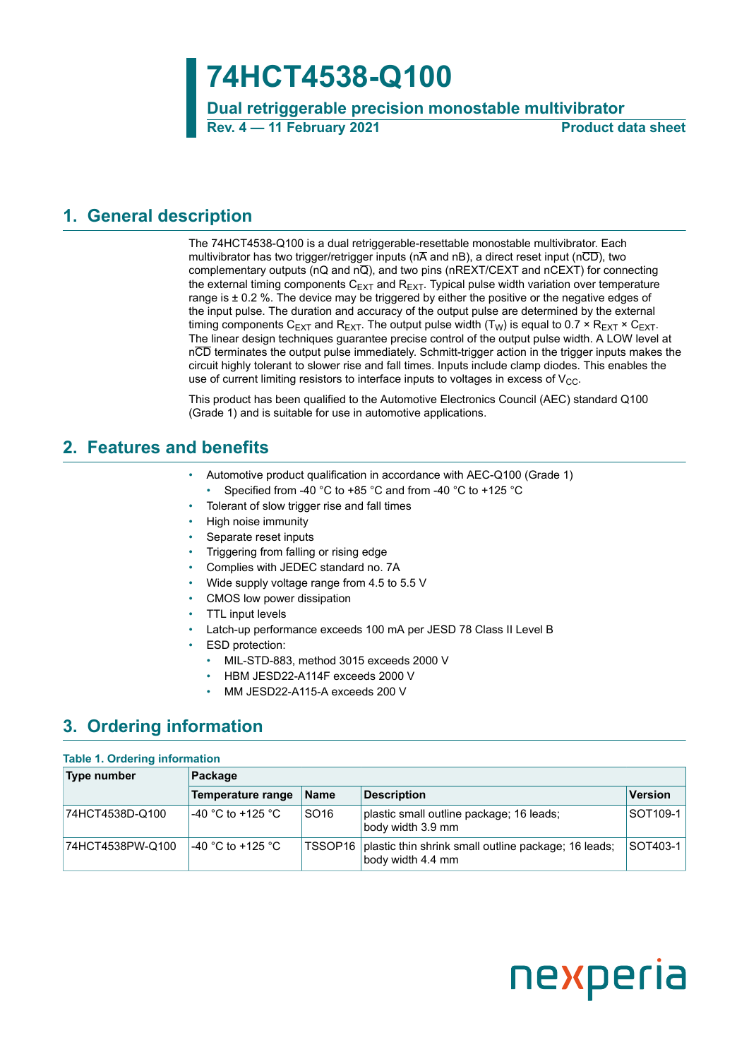## **74HCT4538-Q100**

**Dual retriggerable precision monostable multivibrator Rev. 4 — 11 February 2021 Product data sheet**

### <span id="page-0-1"></span>**1. General description**

The 74HCT4538-Q100 is a dual retriggerable-resettable monostable multivibrator. Each multivibrator has two trigger/retrigger inputs ( $n\overline{A}$  and  $nB$ ), a direct reset input ( $n\overline{CD}$ ), two complementary outputs (nQ and nQ), and two pins (nREXT/CEXT and nCEXT) for connecting the external timing components  $C_{EXT}$  and  $R_{EXT}$ . Typical pulse width variation over temperature range is  $\pm$  0.2 %. The device may be triggered by either the positive or the negative edges of the input pulse. The duration and accuracy of the output pulse are determined by the external timing components C<sub>EXT</sub> and R<sub>EXT</sub>. The output pulse width (T<sub>W</sub>) is equal to 0.7  $\times$  R<sub>EXT</sub>  $\times$  C<sub>EXT</sub>. The linear design techniques guarantee precise control of the output pulse width. A LOW level at nCD terminates the output pulse immediately. Schmitt-trigger action in the trigger inputs makes the circuit highly tolerant to slower rise and fall times. Inputs include clamp diodes. This enables the use of current limiting resistors to interface inputs to voltages in excess of  $V_{CC}$ .

This product has been qualified to the Automotive Electronics Council (AEC) standard Q100 (Grade 1) and is suitable for use in automotive applications.

### <span id="page-0-0"></span>**2. Features and benefits**

- Automotive product qualification in accordance with AEC-Q100 (Grade 1)
- Specified from -40 °C to +85 °C and from -40 °C to +125 °C
- Tolerant of slow trigger rise and fall times
- High noise immunity
- Separate reset inputs
- Triggering from falling or rising edge
- Complies with JEDEC standard no. 7A
- Wide supply voltage range from 4.5 to 5.5 V
- CMOS low power dissipation
- TTL input levels
- Latch-up performance exceeds 100 mA per JESD 78 Class II Level B
- **ESD** protection:
	- MIL-STD-883, method 3015 exceeds 2000 V
	- HBM JESD22-A114F exceeds 2000 V
	- MM JESD22-A115-A exceeds 200 V

### <span id="page-0-2"></span>**3. Ordering information**

#### **Table 1. Ordering information**

| Type number      | Package                          |                  |                                                                                     |            |  |  |
|------------------|----------------------------------|------------------|-------------------------------------------------------------------------------------|------------|--|--|
|                  | Temperature range                | <b>Name</b>      | <b>Description</b>                                                                  | Version    |  |  |
| 74HCT4538D-Q100  | '-40 °C to +125 °C               | SO <sub>16</sub> | plastic small outline package; 16 leads;<br>body width 3.9 mm                       | $SOT109-1$ |  |  |
| 74HCT4538PW-Q100 | <sup>⊥</sup> -40 °C to +125 °C . |                  | TSSOP16   plastic thin shrink small outline package; 16 leads;<br>body width 4.4 mm | SOT403-1   |  |  |

# nexperia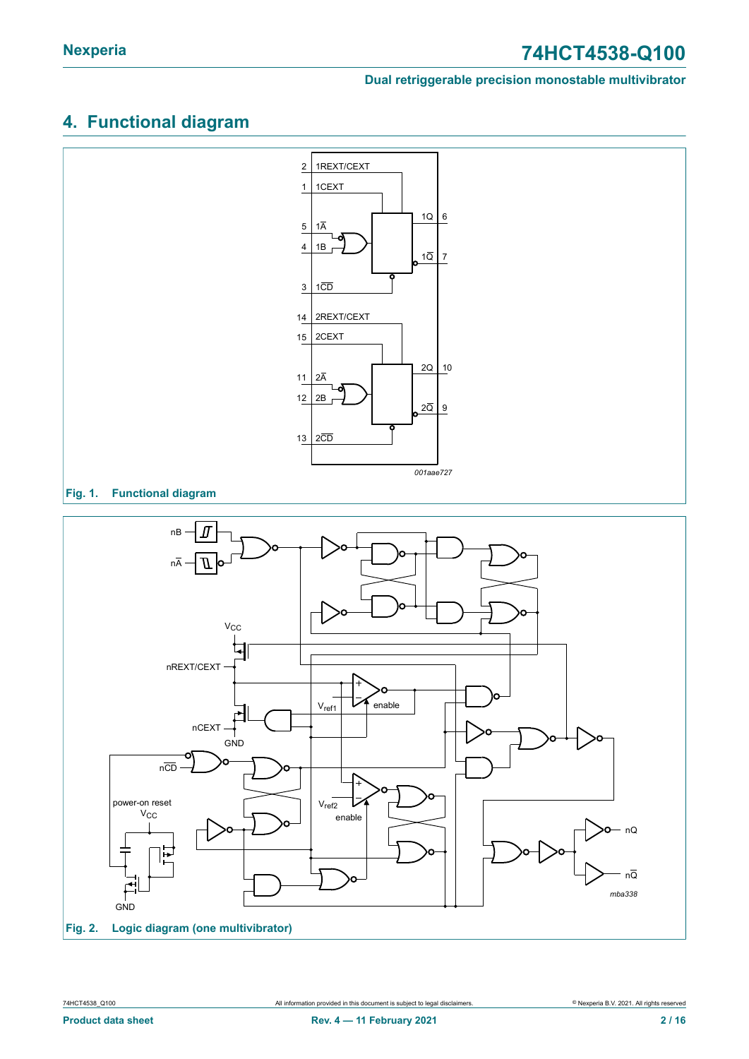### <span id="page-1-0"></span>**4. Functional diagram**

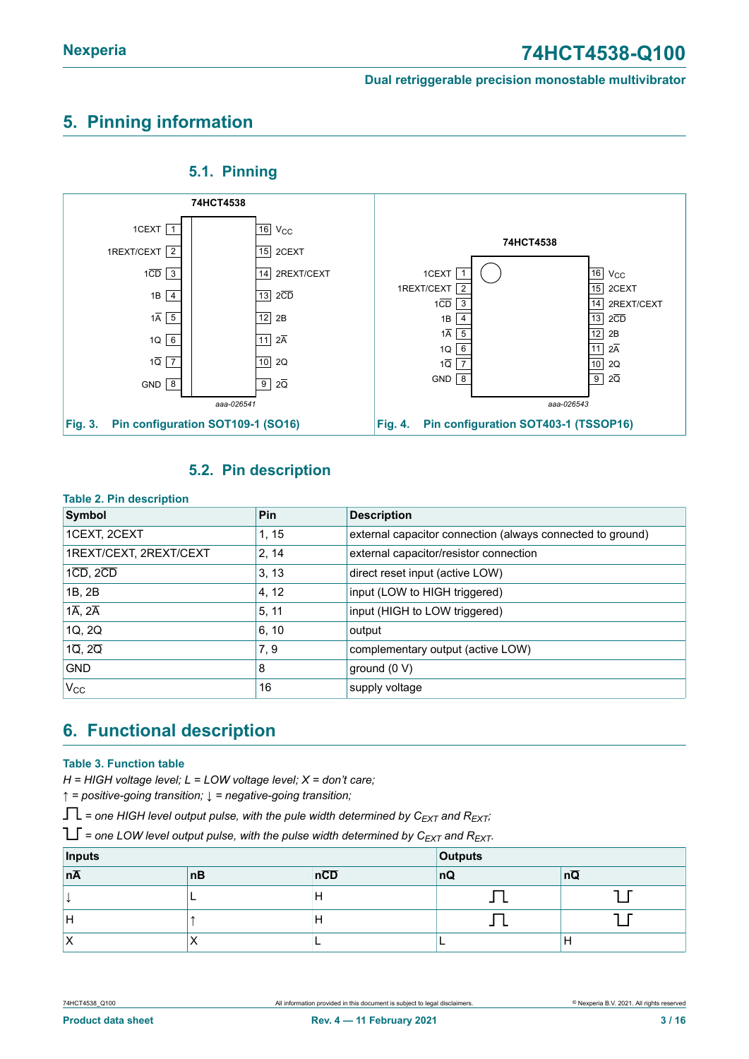### <span id="page-2-0"></span>**5. Pinning information**



<span id="page-2-1"></span>**5.1. Pinning**

### <span id="page-2-2"></span>**5.2. Pin description**

#### **Table 2. Pin description**

| $10000$ $\leq$ $1110000$            |        |                                                            |
|-------------------------------------|--------|------------------------------------------------------------|
| Symbol                              | Pin    | <b>Description</b>                                         |
| 1CEXT, 2CEXT                        | 1, 15  | external capacitor connection (always connected to ground) |
| 1REXT/CEXT, 2REXT/CEXT              | 2, 14  | external capacitor/resistor connection                     |
| $1\overline{CD}$ , $2\overline{CD}$ | 3, 13  | direct reset input (active LOW)                            |
| 1B, 2B                              | 4, 12  | input (LOW to HIGH triggered)                              |
| $1\overline{A}$ , $2\overline{A}$   | 15, 11 | input (HIGH to LOW triggered)                              |
| 1Q, 2Q                              | 6, 10  | output                                                     |
| $1\overline{Q}$ , $2\overline{Q}$   | 7, 9   | complementary output (active LOW)                          |
| <b>GND</b>                          | 8      | ground (0 V)                                               |
| $V_{\rm CC}$                        | 16     | supply voltage                                             |

### <span id="page-2-3"></span>**6. Functional description**

#### **Table 3. Function table**

*H = HIGH voltage level; L = LOW voltage level; X = don't care;*

*↑ = positive-going transition; ↓ = negative-going transition;*

 $\Gamma$  = one HIGH level output pulse, with the pule width determined by  $C_{EXT}$  and  $R_{EXT}$ ;

 $T =$  one LOW level output pulse, with the pulse width determined by  $C_{EXT}$  and  $R_{EXT}$ .

| Inputs          |    | <b>Outputs</b> |    |    |
|-----------------|----|----------------|----|----|
| $n\overline{A}$ | nB | nCD            | nQ | nQ |
|                 |    | IH             |    |    |
| IН              |    | IH             |    |    |
|                 |    |                |    |    |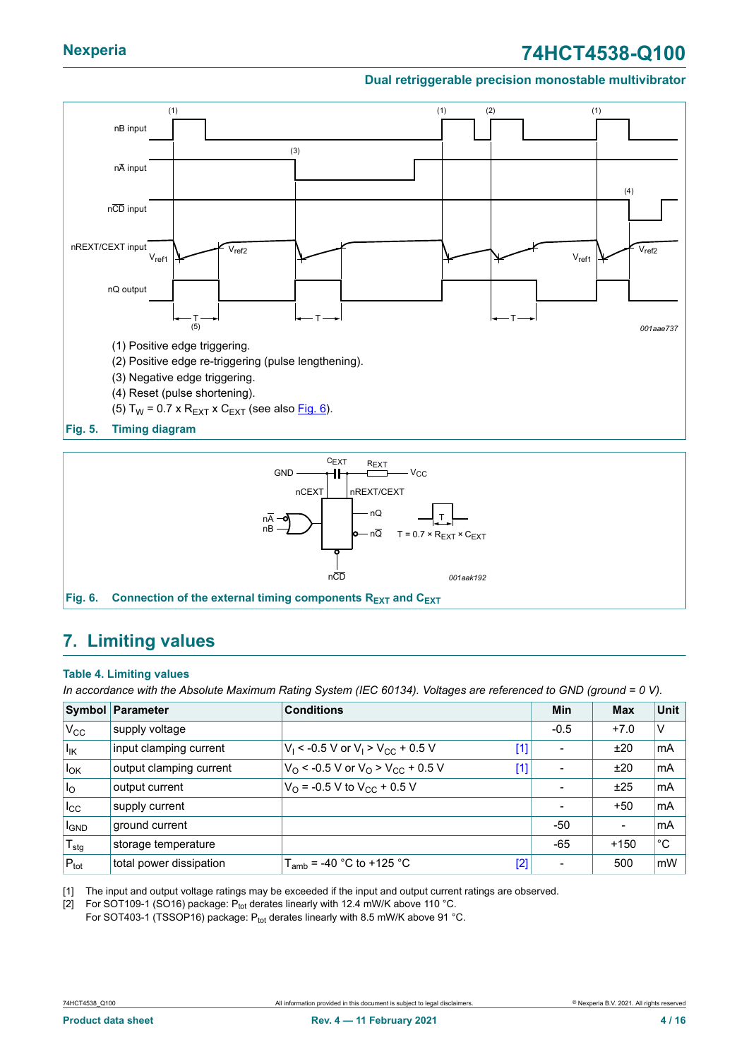### <span id="page-3-1"></span>**Nexperia 74HCT4538-Q100**

#### **Dual retriggerable precision monostable multivibrator**



<span id="page-3-0"></span>

### <span id="page-3-2"></span>**7. Limiting values**

#### **Table 4. Limiting values**

In accordance with the Absolute Maximum Rating System (IEC 60134). Voltages are referenced to GND (ground = 0 V).

|                   | <b>Symbol Parameter</b> | <b>Conditions</b>                                                   | Min                      | <b>Max</b>               | Unit |
|-------------------|-------------------------|---------------------------------------------------------------------|--------------------------|--------------------------|------|
| V <sub>CC</sub>   | supply voltage          |                                                                     | $-0.5$                   | $+7.0$                   | V    |
| $I_{\mathsf{IK}}$ | input clamping current  | $V_1$ < -0.5 V or $V_1$ > $V_{CC}$ + 0.5 V<br>$[1]$                 |                          | ±20                      | mA   |
| ιlοκ              | output clamping current | $V_{\rm O}$ < -0.5 V or $V_{\rm O}$ > $V_{\rm CC}$ + 0.5 V<br>$[1]$ |                          | ±20                      | mA   |
| $I_{\rm O}$       | output current          | $V_{\Omega}$ = -0.5 V to $V_{\text{CC}}$ + 0.5 V                    |                          | ±25                      | mA   |
| $I_{\rm CC}$      | supply current          |                                                                     |                          | $+50$                    | mA   |
| <sup>I</sup> GND  | ground current          |                                                                     | -50                      | $\overline{\phantom{a}}$ | mA   |
| $T_{\text{stg}}$  | storage temperature     |                                                                     | $-65$                    | $+150$                   | °C   |
| $P_{\text{tot}}$  | total power dissipation | $T_{amb}$ = -40 °C to +125 °C<br>$[2]$                              | $\overline{\phantom{0}}$ | 500                      | mW   |

[1] The input and output voltage ratings may be exceeded if the input and output current ratings are observed.

[2] For SOT109-1 (SO16) package:  $P_{\text{tot}}$  derates linearly with 12.4 mW/K above 110 °C.

For SOT403-1 (TSSOP16) package: P<sub>tot</sub> derates linearly with 8.5 mW/K above 91 °C.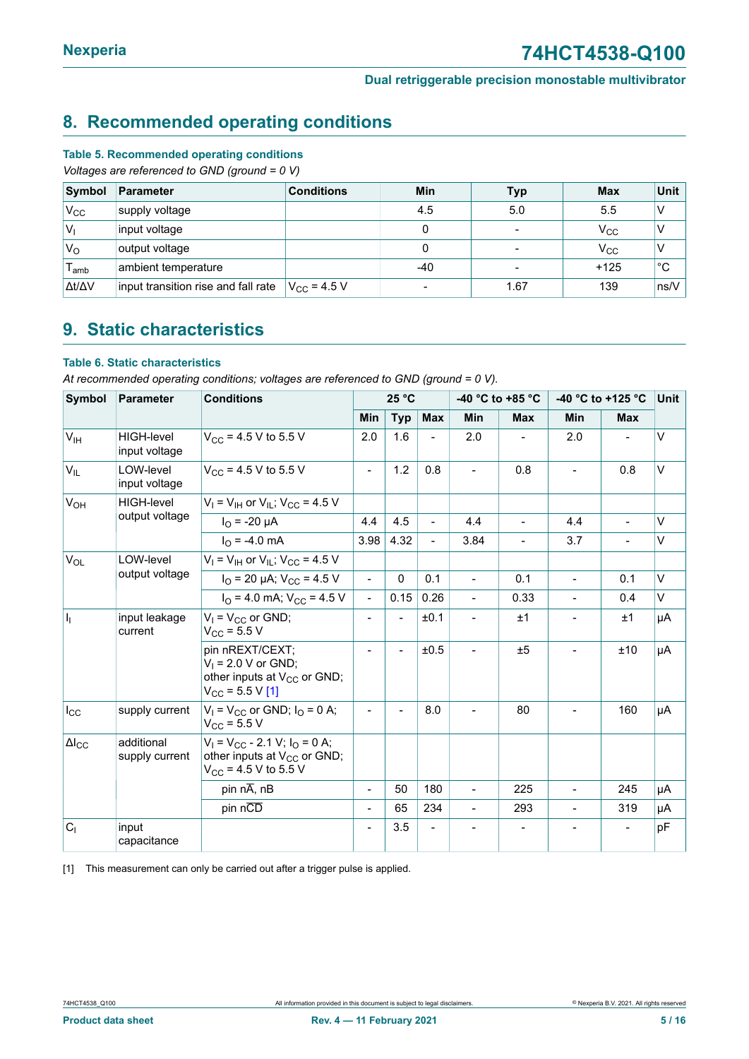### <span id="page-4-1"></span><span id="page-4-0"></span>**8. Recommended operating conditions**

#### **Table 5. Recommended operating conditions**

*Voltages are referenced to GND (ground = 0 V)*

| Symbol              | Parameter                           | <b>Conditions</b>    | Min                      | <b>Typ</b>               | <b>Max</b>   | Unit                      |
|---------------------|-------------------------------------|----------------------|--------------------------|--------------------------|--------------|---------------------------|
| $V_{\rm CC}$        | supply voltage                      |                      | 4.5                      | 5.0                      | 5.5          |                           |
| $V_{1}$             | input voltage                       |                      |                          | $\overline{\phantom{a}}$ | $\rm V_{CC}$ |                           |
| $V_{\rm O}$         | output voltage                      |                      |                          | $\overline{\phantom{a}}$ | $\rm V_{CC}$ |                           |
| l <sub>amb</sub>    | ambient temperature                 |                      | $-40$                    | $\blacksquare$           | $+125$       | °С                        |
| $\Delta t/\Delta V$ | input transition rise and fall rate | $V_{\rm CC}$ = 4.5 V | $\overline{\phantom{a}}$ | 1.67                     | 139          | $\mathsf{Ins}\mathcal{N}$ |

### <span id="page-4-2"></span>**9. Static characteristics**

#### **Table 6. Static characteristics**

*At recommended operating conditions; voltages are referenced to GND (ground = 0 V).*

| <b>Symbol</b>       | <b>Parameter</b>                   | <b>Conditions</b>                                                                                            | 25 °C          |                |                          | -40 °C to +85 °C |                          | -40 °C to +125 °C |                | Unit   |
|---------------------|------------------------------------|--------------------------------------------------------------------------------------------------------------|----------------|----------------|--------------------------|------------------|--------------------------|-------------------|----------------|--------|
|                     |                                    |                                                                                                              | Min            | <b>Typ</b>     | <b>Max</b>               | <b>Min</b>       | <b>Max</b>               | <b>Min</b>        | <b>Max</b>     |        |
| V <sub>IH</sub>     | <b>HIGH-level</b><br>input voltage | $V_{CC}$ = 4.5 V to 5.5 V                                                                                    | 2.0            | 1.6            | $\overline{\phantom{0}}$ | 2.0              |                          | 2.0               |                | $\vee$ |
| $V_{IL}$            | LOW-level<br>input voltage         | $V_{CC}$ = 4.5 V to 5.5 V                                                                                    |                | 1.2            | 0.8                      | $\blacksquare$   | 0.8                      | $\sim$            | 0.8            | $\vee$ |
| V <sub>OH</sub>     | HIGH-level                         | $V_1$ = $V_{1H}$ or $V_{1L}$ ; $V_{CC}$ = 4.5 V                                                              |                |                |                          |                  |                          |                   |                |        |
|                     | output voltage                     | $I_{\Omega}$ = -20 µA                                                                                        | 4.4            | 4.5            | $\overline{\phantom{a}}$ | 4.4              | $\blacksquare$           | 4.4               | $\blacksquare$ | $\vee$ |
|                     |                                    | $I_{\Omega}$ = -4.0 mA                                                                                       | 3.98           | 4.32           | $\blacksquare$           | 3.84             | $\overline{\phantom{0}}$ | 3.7               | $\blacksquare$ | V      |
| $V_{OL}$            | LOW-level                          | $V_1$ = $V_{\text{IH}}$ or $V_{\text{IL}}$ ; $V_{\text{CC}}$ = 4.5 V                                         |                |                |                          |                  |                          |                   |                |        |
|                     | output voltage                     | $I_{\text{O}}$ = 20 µA; $V_{\text{CC}}$ = 4.5 V                                                              | $\overline{a}$ | $\Omega$       | 0.1                      | $\blacksquare$   | 0.1                      | $\blacksquare$    | 0.1            | $\vee$ |
|                     |                                    | $I_{\Omega}$ = 4.0 mA; $V_{\text{CC}}$ = 4.5 V                                                               | $\blacksquare$ | 0.15           | 0.26                     | $\overline{a}$   | 0.33                     | $\overline{a}$    | 0.4            | V      |
| h                   | input leakage<br>current           | $V_1 = V_{CC}$ or GND;<br>$V_{CC}$ = 5.5 V                                                                   |                |                | ±0.1                     |                  | ±1                       |                   | ±1             | μA     |
|                     |                                    | pin nREXT/CEXT;<br>$V_1 = 2.0 V$ or GND;<br>other inputs at V <sub>CC</sub> or GND;<br>$V_{CC}$ = 5.5 V [1]  |                | $\blacksquare$ | ±0.5                     | $\blacksquare$   | ±5                       |                   | ±10            | μA     |
| $I_{\rm CC}$        | supply current                     | $V_1 = V_{CC}$ or GND; $I_0 = 0$ A;<br>$V_{\rm CC}$ = 5.5 V                                                  |                |                | 8.0                      |                  | 80                       |                   | 160            | μA     |
| $\Delta I_{\rm CC}$ | additional<br>supply current       | $V_1 = V_{CC} - 2.1$ V; $I_Q = 0$ A;<br>other inputs at V <sub>CC</sub> or GND;<br>$V_{CC}$ = 4.5 V to 5.5 V |                |                |                          |                  |                          |                   |                |        |
|                     |                                    | pin nA, nB                                                                                                   | $\blacksquare$ | 50             | 180                      | $\overline{a}$   | 225                      |                   | 245            | μA     |
|                     |                                    | pin nCD                                                                                                      | $\blacksquare$ | 65             | 234                      | $\blacksquare$   | 293                      | $\blacksquare$    | 319            | μA     |
| C <sub>1</sub>      | input<br>capacitance               |                                                                                                              |                | 3.5            |                          |                  |                          |                   |                | pF     |

[1] This measurement can only be carried out after a trigger pulse is applied.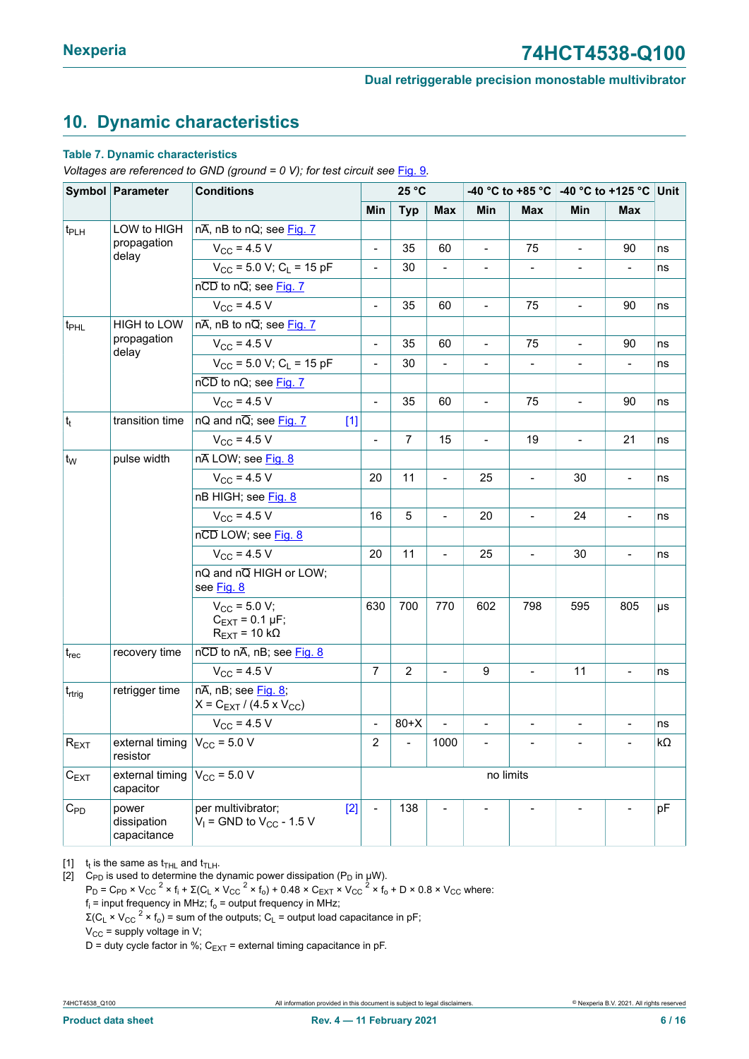### <span id="page-5-1"></span><span id="page-5-0"></span>**10. Dynamic characteristics**

#### **Table 7. Dynamic characteristics**

*Voltages are referenced to GND (ground = 0 V); for test circuit see* [Fig. 9](#page-7-0)*.*

|                              | Symbol Parameter                                    | <b>Conditions</b>                                                                               |                | 25 °C          |                | -40 $^{\circ}$ C to +85 $^{\circ}$ C |                              | -40 °C to +125 °C Unit       |                              |    |
|------------------------------|-----------------------------------------------------|-------------------------------------------------------------------------------------------------|----------------|----------------|----------------|--------------------------------------|------------------------------|------------------------------|------------------------------|----|
|                              |                                                     |                                                                                                 | Min            | <b>Typ</b>     | <b>Max</b>     | Min                                  | Max                          | Min                          | <b>Max</b>                   |    |
| t <sub>PLH</sub>             | LOW to HIGH                                         | $n\overline{A}$ , nB to nQ; see Fig. 7                                                          |                |                |                |                                      |                              |                              |                              |    |
|                              | propagation<br>delay                                | $V_{\rm CC}$ = 4.5 V                                                                            | $\overline{a}$ | 35             | 60             | $\blacksquare$                       | 75                           | $\overline{\phantom{a}}$     | 90                           | ns |
|                              |                                                     | $V_{CC}$ = 5.0 V; C <sub>1</sub> = 15 pF                                                        | $\overline{a}$ | 30             |                | $\qquad \qquad \blacksquare$         | $\qquad \qquad \blacksquare$ | $\qquad \qquad \blacksquare$ |                              | ns |
|                              |                                                     | nCD to nQ; see Fig. 7                                                                           |                |                |                |                                      |                              |                              |                              |    |
|                              |                                                     | $V_{\rm CC}$ = 4.5 V                                                                            | $\overline{a}$ | 35             | 60             | $\blacksquare$                       | 75                           | $\blacksquare$               | 90                           | ns |
| t <sub>PHL</sub>             | HIGH to LOW                                         | $n\overline{A}$ , nB to $n\overline{Q}$ ; see Fig. 7                                            |                |                |                |                                      |                              |                              |                              |    |
|                              | propagation<br>delay                                | $V_{CC}$ = 4.5 V                                                                                | $\frac{1}{2}$  | 35             | 60             | $\overline{\phantom{a}}$             | 75                           | $\blacksquare$               | 90                           | ns |
|                              |                                                     | $V_{CC}$ = 5.0 V; C <sub>L</sub> = 15 pF                                                        | $\overline{a}$ | 30             |                |                                      | $\overline{\phantom{0}}$     |                              |                              | ns |
|                              |                                                     | nCD to nQ; see Fig. 7                                                                           |                |                |                |                                      |                              |                              |                              |    |
|                              |                                                     | $V_{CC}$ = 4.5 V                                                                                | $\overline{a}$ | 35             | 60             | $\overline{a}$                       | 75                           | $\overline{\phantom{0}}$     | 90                           | ns |
| $ t_t $                      | transition time                                     | nQ and $n\overline{Q}$ ; see Fig. 7<br>$[1]$                                                    |                |                |                |                                      |                              |                              |                              |    |
|                              |                                                     | $V_{CC}$ = 4.5 V                                                                                | $\blacksquare$ | 7              | 15             | $\overline{\phantom{a}}$             | 19                           | $\overline{\phantom{0}}$     | 21                           | ns |
| ∣t <sub>w</sub>              | pulse width                                         | nALOW; see Fig. 8                                                                               |                |                |                |                                      |                              |                              |                              |    |
|                              |                                                     | $V_{CC}$ = 4.5 V                                                                                | 20             | 11             | $\blacksquare$ | 25                                   | $\frac{1}{2}$                | 30                           | $\overline{\phantom{0}}$     | ns |
|                              |                                                     | nB HIGH; see Fig. 8                                                                             |                |                |                |                                      |                              |                              |                              |    |
|                              |                                                     | $V_{CC}$ = 4.5 V                                                                                | 16             | 5              |                | 20                                   | $\overline{\phantom{0}}$     | 24                           | $\qquad \qquad \blacksquare$ | ns |
|                              |                                                     | nCD LOW; see Fig. 8                                                                             |                |                |                |                                      |                              |                              |                              |    |
|                              |                                                     | $V_{\rm CC}$ = 4.5 V                                                                            | 20             | 11             | $\blacksquare$ | 25                                   | $\frac{1}{2}$                | 30                           | $\qquad \qquad \blacksquare$ | ns |
|                              |                                                     | nQ and nQ HIGH or LOW;<br>see Fig. 8                                                            |                |                |                |                                      |                              |                              |                              |    |
|                              |                                                     | $V_{CC}$ = 5.0 V;<br>$C_{\text{EXT}} = 0.1 \,\mu\text{F}$ ;<br>$R_{\text{EXT}}$ = 10 k $\Omega$ | 630            | 700            | 770            | 602                                  | 798                          | 595                          | 805                          | μs |
| $t_{rec}$                    | recovery time                                       | $n\overline{CD}$ to $n\overline{A}$ , nB; see Fig. 8                                            |                |                |                |                                      |                              |                              |                              |    |
|                              |                                                     | $V_{CC}$ = 4.5 V                                                                                | $\overline{7}$ | $\overline{2}$ |                | 9                                    |                              | 11                           | $\frac{1}{2}$                | ns |
| t <sub>rtrig</sub>           | retrigger time                                      | $n\overline{A}$ , nB; see Fig. 8;<br>$X = C_{EXT} / (4.5 \times V_{CC})$                        |                |                |                |                                      |                              |                              |                              |    |
|                              |                                                     | $V_{\text{CC}}$ = 4.5 V                                                                         | $\overline{a}$ | $80+X$         |                | $\overline{\phantom{a}}$             | $\frac{1}{2}$                |                              | $\qquad \qquad \blacksquare$ | ns |
| $ \mathsf{R}_{\mathsf{EXT}}$ | external timing $V_{\text{CC}}$ = 5.0 V<br>resistor |                                                                                                 | $\overline{c}$ |                | 1000           |                                      |                              |                              |                              | kΩ |
| $C_{EXT}$                    | external timing<br>capacitor                        | $V_{CC}$ = 5.0 V                                                                                | no limits      |                |                |                                      |                              |                              |                              |    |
| $C_{PD}$                     | power<br>dissipation<br>capacitance                 | $[2]$<br>per multivibrator;<br>$V_1$ = GND to $V_{CC}$ - 1.5 V                                  |                | 138            |                |                                      |                              |                              |                              | pF |

[1]  $t_t$  is the same as  $t_{\text{THL}}$  and  $t_{\text{TLH}}$ .

[2]  $\,$  C<sub>PD</sub> is used to determine the dynamic power dissipation (P<sub>D</sub> in μW).

 $P_D$  = C<sub>PD</sub> × V<sub>CC</sub> <sup>2</sup> × f<sub>i</sub> +  $\Sigma$ (C<sub>L</sub> × V<sub>CC</sub> <sup>2</sup> × f<sub>o</sub>) + 0.48 × C<sub>EXT</sub> × V<sub>CC</sub> <sup>2</sup> × f<sub>o</sub> + D × 0.8 × V<sub>CC</sub> where:

 $\mathsf{f}_\mathsf{i}$  = input frequency in MHz;  $\mathsf{f}_\mathsf{o}$  = output frequency in MHz;

Σ(C<sub>L</sub> × V<sub>CC</sub> <sup>2</sup> × f<sub>o</sub>) = sum of the outputs; C<sub>L</sub> = output load capacitance in pF;

 $V_{CC}$  = supply voltage in V;

D = duty cycle factor in %;  $C_{EXT}$  = external timing capacitance in pF.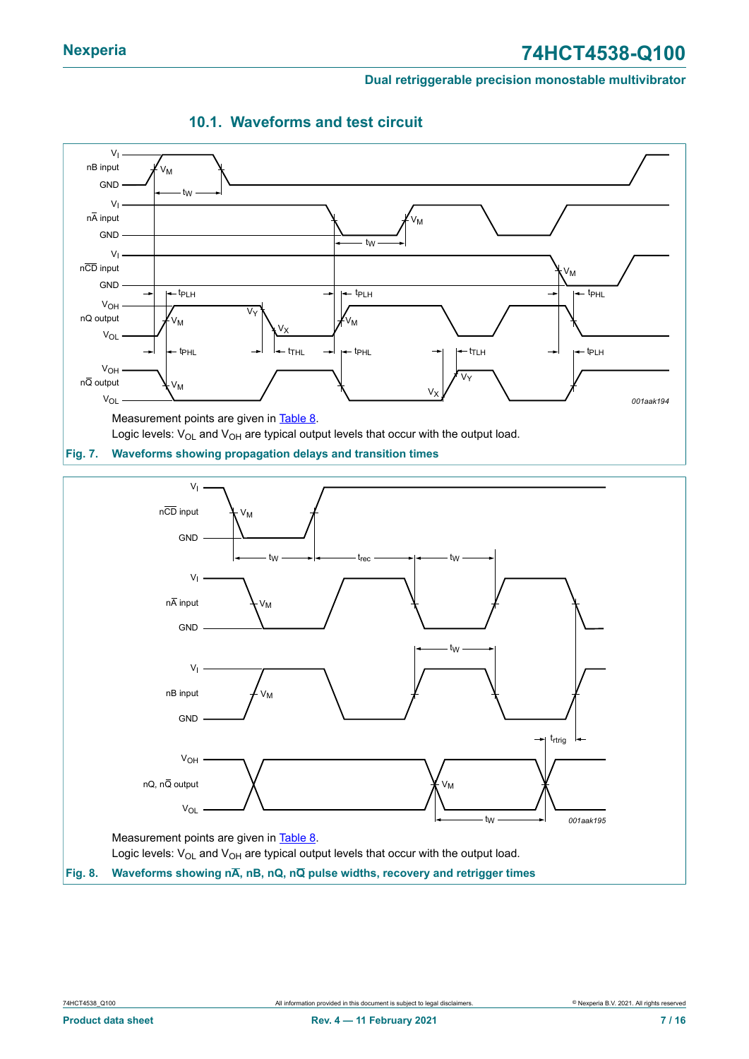<span id="page-6-0"></span>

### <span id="page-6-2"></span>**10.1. Waveforms and test circuit**



<span id="page-6-1"></span>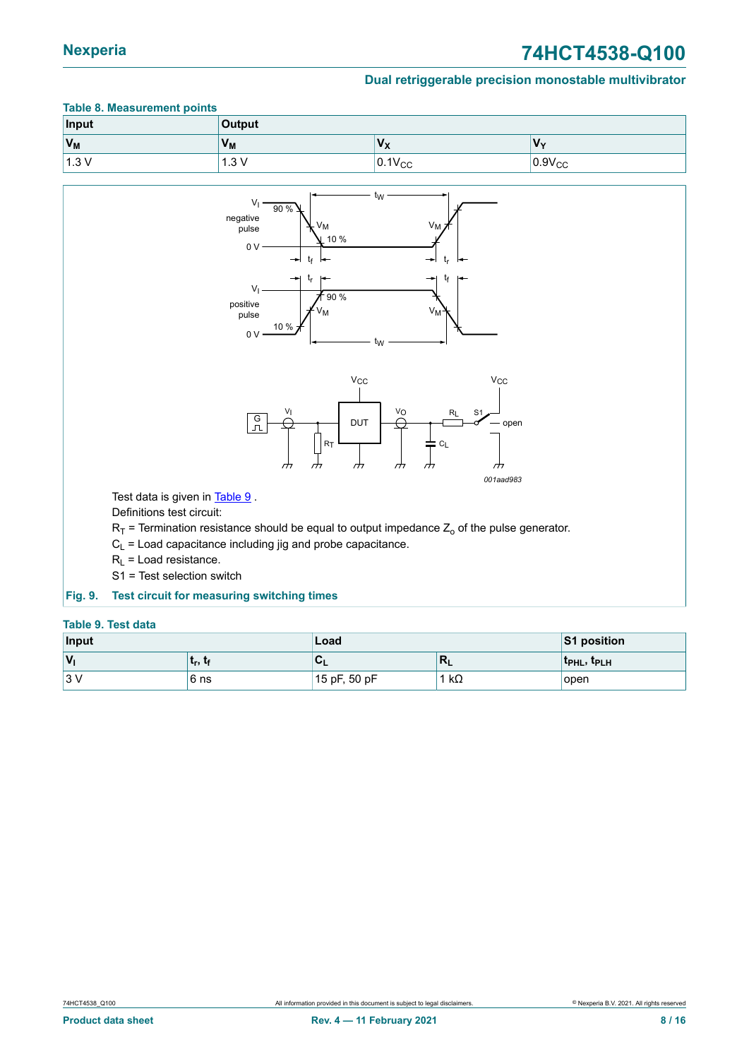### **Nexperia 74HCT4538-Q100**

#### **Dual retriggerable precision monostable multivibrator**

### <span id="page-7-1"></span>**Table 8. Measurement points Input Output**  $V_M$  **V**<sub>M</sub> **V**<sub>M</sub> **V**<sub>M</sub> **V**<sub>X</sub> **V**<sub>M</sub> **V**<sub>M</sub> 1.3 V  $1.3 \text{ V}$  0.1V<sub>CC</sub> 0.9V<sub>CC</sub> 0.9V<sub>CC</sub>

<span id="page-7-0"></span>

#### <span id="page-7-2"></span>**Table 9. Test data**

| Input                  |          | Load                      | <b>S1 position</b>        |                                     |
|------------------------|----------|---------------------------|---------------------------|-------------------------------------|
| $\mathsf{I}\mathsf{v}$ | ∣ եր, եք | $\mathbf{v}_{\mathsf{L}}$ | $\mathbf{m}_{\mathbf{L}}$ | t <sub>PHL</sub> , t <sub>PLH</sub> |
| 13 V<br>' ت∪           | ∣6 ns    | 15 pF, 50 pF              | 1 k $\Omega$              | open                                |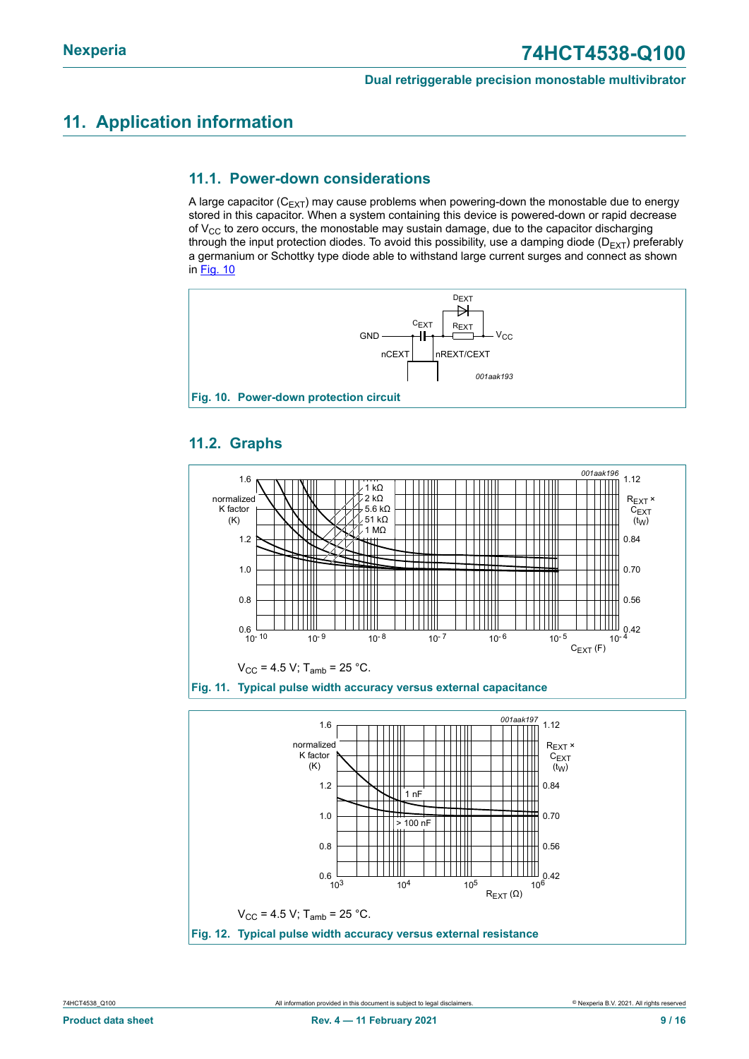### <span id="page-8-1"></span>**11. Application information**

#### <span id="page-8-2"></span>**11.1. Power-down considerations**

A large capacitor ( $C_{EXT}$ ) may cause problems when powering-down the monostable due to energy stored in this capacitor. When a system containing this device is powered-down or rapid decrease of  $V_{CC}$  to zero occurs, the monostable may sustain damage, due to the capacitor discharging through the input protection diodes. To avoid this possibility, use a damping diode ( $D_{EXT}$ ) preferably a germanium or Schottky type diode able to withstand large current surges and connect as shown in [Fig. 10](#page-8-0)

<span id="page-8-0"></span>

### <span id="page-8-3"></span>**11.2. Graphs**



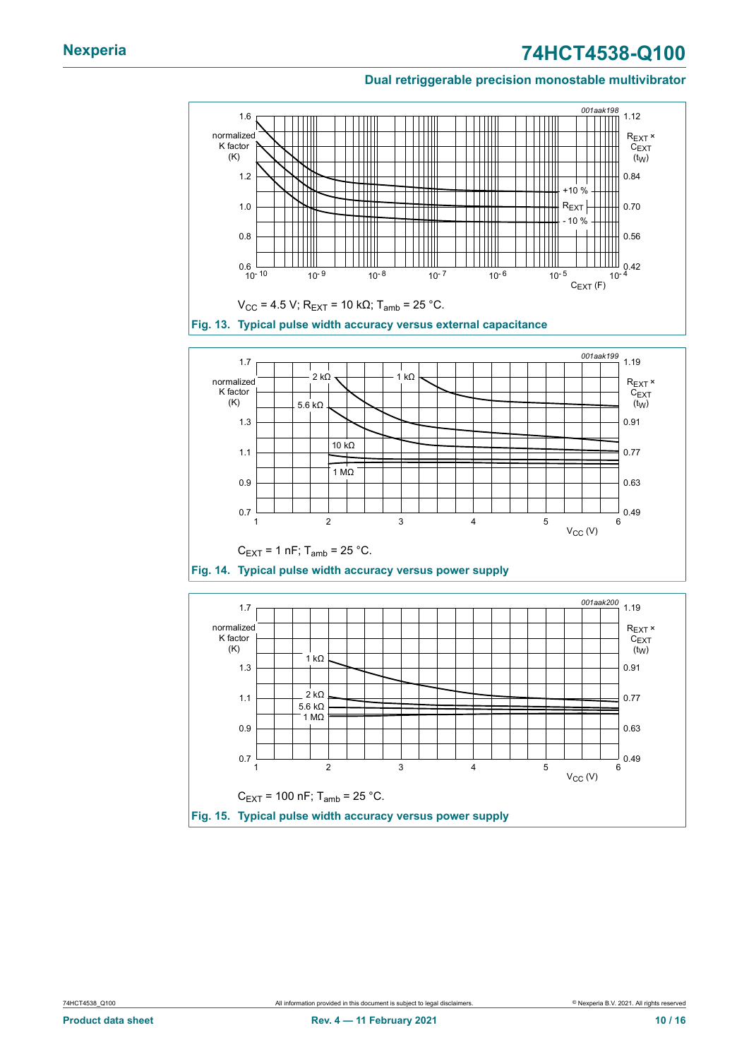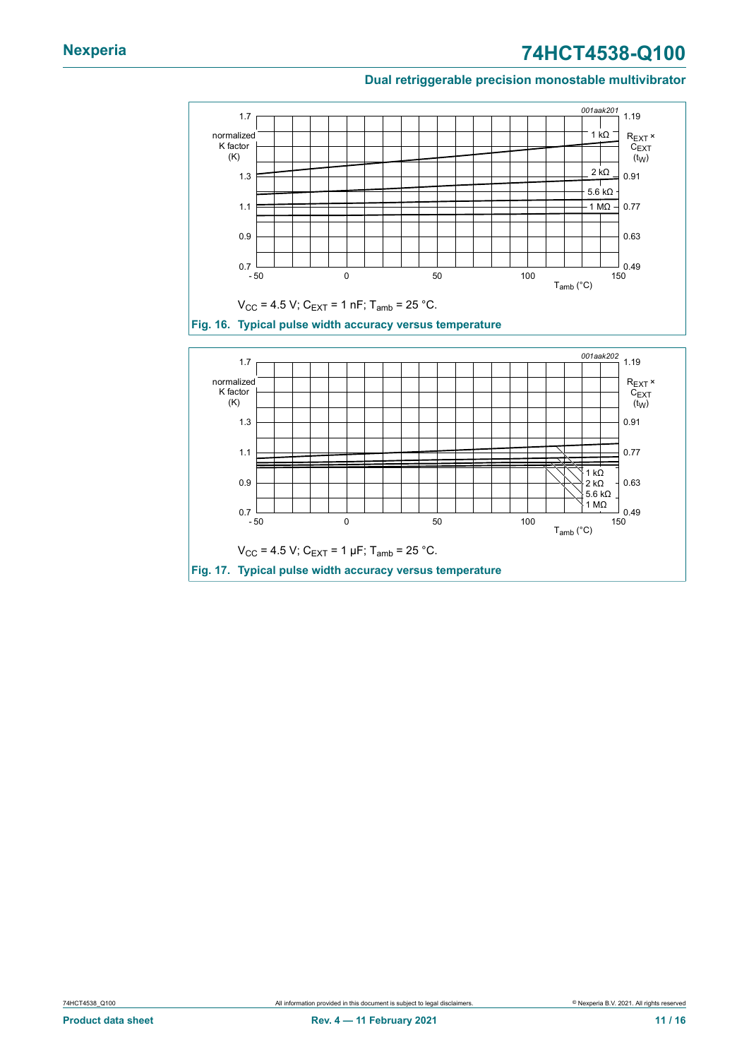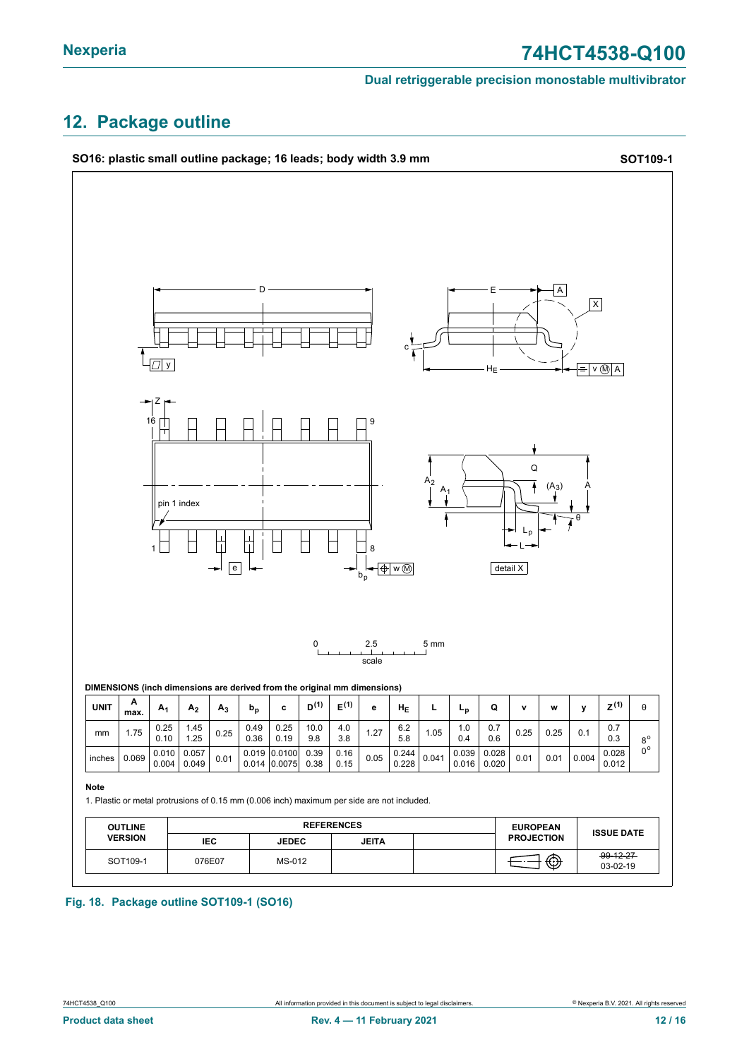### <span id="page-11-0"></span>**12. Package outline**



#### **Fig. 18. Package outline SOT109-1 (SO16)**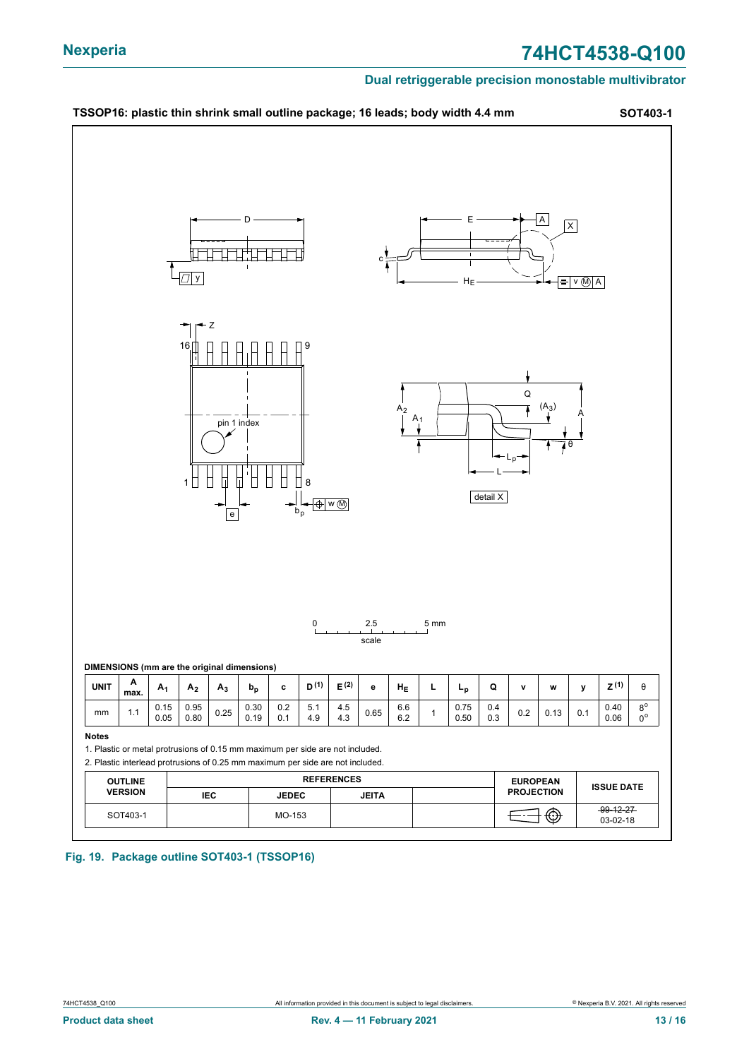### **Nexperia 74HCT4538-Q100**

#### **Dual retriggerable precision monostable multivibrator**



**Fig. 19. Package outline SOT403-1 (TSSOP16)**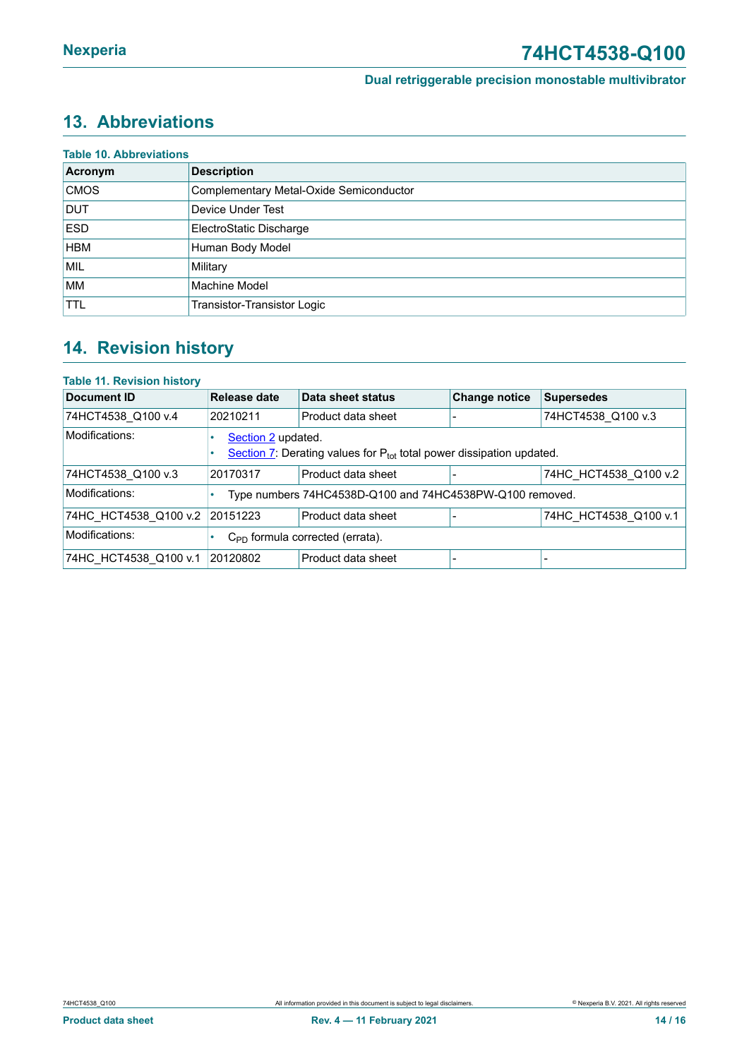### <span id="page-13-0"></span>**13. Abbreviations**

| Acronym     | <b>Description</b>                      |
|-------------|-----------------------------------------|
| <b>CMOS</b> | Complementary Metal-Oxide Semiconductor |
| <b>DUT</b>  | Device Under Test                       |
| <b>ESD</b>  | ElectroStatic Discharge                 |
| <b>HBM</b>  | Human Body Model                        |
| MIL         | Military                                |
| <b>MM</b>   | Machine Model                           |
| <b>TTL</b>  | Transistor-Transistor Logic             |

### <span id="page-13-1"></span>**14. Revision history**

#### **Table 11. Revision history**

| <b>Document ID</b>    | Release date                                                                                    | Data sheet status                                        | <b>Change notice</b> | <b>Supersedes</b>     |  |  |
|-----------------------|-------------------------------------------------------------------------------------------------|----------------------------------------------------------|----------------------|-----------------------|--|--|
| 74HCT4538 Q100 v.4    | 20210211                                                                                        | Product data sheet                                       |                      | 74HCT4538 Q100 v.3    |  |  |
| Modifications:        | Section 2 updated.<br>Section 7: Derating values for $P_{tot}$ total power dissipation updated. |                                                          |                      |                       |  |  |
| 74HCT4538 Q100 v.3    | 20170317                                                                                        | Product data sheet                                       |                      | 74HC HCT4538 Q100 v.2 |  |  |
| Modifications:        |                                                                                                 | Type numbers 74HC4538D-Q100 and 74HC4538PW-Q100 removed. |                      |                       |  |  |
| 74HC_HCT4538_Q100 v.2 | 20151223                                                                                        | Product data sheet                                       |                      | 74HC_HCT4538_Q100 v.1 |  |  |
| Modifications:        | $C_{\text{PD}}$ formula corrected (errata).                                                     |                                                          |                      |                       |  |  |
| 74HC HCT4538 Q100 v.1 | 20120802                                                                                        | Product data sheet                                       |                      |                       |  |  |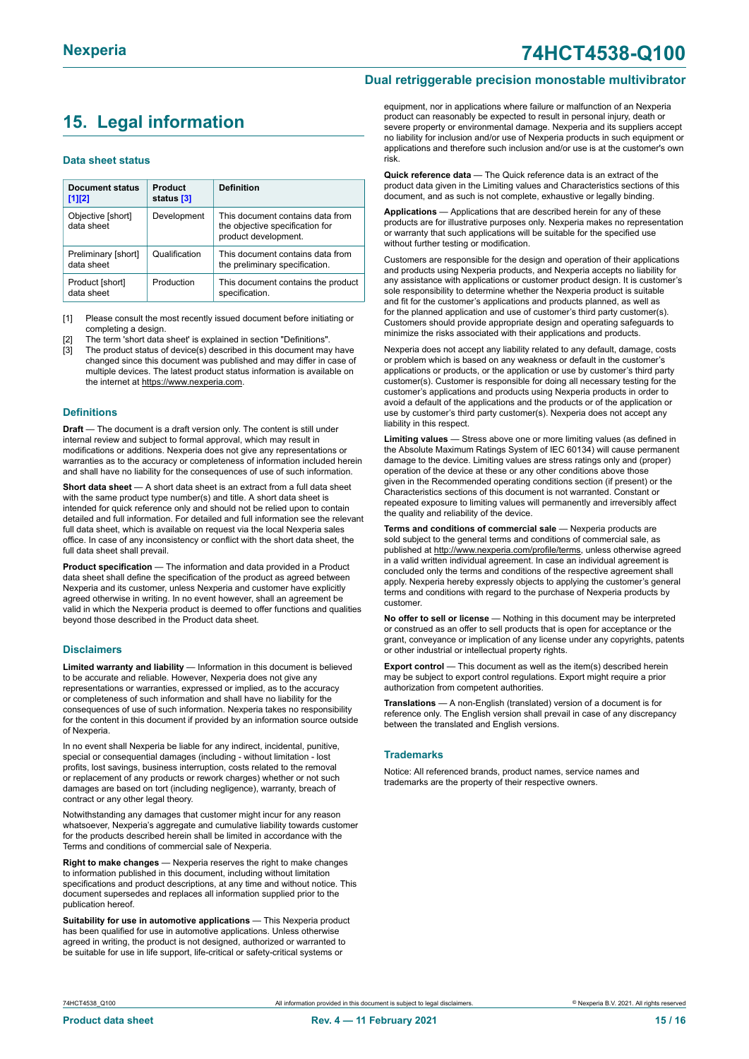### <span id="page-14-0"></span>**15. Legal information**

#### **Data sheet status**

| Document status<br>$[1]$ [2]      | Product<br>status [3] | <b>Definition</b>                                                                           |
|-----------------------------------|-----------------------|---------------------------------------------------------------------------------------------|
| Objective [short]<br>data sheet   | Development           | This document contains data from<br>the objective specification for<br>product development. |
| Preliminary [short]<br>data sheet | Qualification         | This document contains data from<br>the preliminary specification.                          |
| Product [short]<br>data sheet     | Production            | This document contains the product<br>specification.                                        |

[1] Please consult the most recently issued document before initiating or completing a design.

The term 'short data sheet' is explained in section "Definitions".

[3] The product status of device(s) described in this document may have changed since this document was published and may differ in case of multiple devices. The latest product status information is available on the internet at [https://www.nexperia.com.](https://www.nexperia.com)

#### **Definitions**

**Draft** — The document is a draft version only. The content is still under internal review and subject to formal approval, which may result in modifications or additions. Nexperia does not give any representations or warranties as to the accuracy or completeness of information included herein and shall have no liability for the consequences of use of such information.

**Short data sheet** — A short data sheet is an extract from a full data sheet with the same product type number(s) and title. A short data sheet is intended for quick reference only and should not be relied upon to contain detailed and full information. For detailed and full information see the relevant full data sheet, which is available on request via the local Nexperia sales office. In case of any inconsistency or conflict with the short data sheet, the full data sheet shall prevail.

**Product specification** — The information and data provided in a Product data sheet shall define the specification of the product as agreed between Nexperia and its customer, unless Nexperia and customer have explicitly agreed otherwise in writing. In no event however, shall an agreement be valid in which the Nexperia product is deemed to offer functions and qualities beyond those described in the Product data sheet.

#### **Disclaimers**

**Limited warranty and liability** — Information in this document is believed to be accurate and reliable. However, Nexperia does not give any representations or warranties, expressed or implied, as to the accuracy or completeness of such information and shall have no liability for the consequences of use of such information. Nexperia takes no responsibility for the content in this document if provided by an information source outside of Nexperia.

In no event shall Nexperia be liable for any indirect, incidental, punitive, special or consequential damages (including - without limitation - lost profits, lost savings, business interruption, costs related to the removal or replacement of any products or rework charges) whether or not such damages are based on tort (including negligence), warranty, breach of contract or any other legal theory.

Notwithstanding any damages that customer might incur for any reason whatsoever, Nexperia's aggregate and cumulative liability towards customer for the products described herein shall be limited in accordance with the Terms and conditions of commercial sale of Nexperia.

**Right to make changes** — Nexperia reserves the right to make changes to information published in this document, including without limitation specifications and product descriptions, at any time and without notice. This document supersedes and replaces all information supplied prior to the publication hereof

**Suitability for use in automotive applications** — This Nexperia product has been qualified for use in automotive applications. Unless otherwise agreed in writing, the product is not designed, authorized or warranted to be suitable for use in life support, life-critical or safety-critical systems or

### **Nexperia 74HCT4538-Q100**

#### **Dual retriggerable precision monostable multivibrator**

equipment, nor in applications where failure or malfunction of an Nexperia product can reasonably be expected to result in personal injury, death or severe property or environmental damage. Nexperia and its suppliers accept no liability for inclusion and/or use of Nexperia products in such equipment or applications and therefore such inclusion and/or use is at the customer's own risk.

**Quick reference data** — The Quick reference data is an extract of the product data given in the Limiting values and Characteristics sections of this document, and as such is not complete, exhaustive or legally binding.

**Applications** — Applications that are described herein for any of these products are for illustrative purposes only. Nexperia makes no representation or warranty that such applications will be suitable for the specified use without further testing or modification.

Customers are responsible for the design and operation of their applications and products using Nexperia products, and Nexperia accepts no liability for any assistance with applications or customer product design. It is customer's sole responsibility to determine whether the Nexperia product is suitable and fit for the customer's applications and products planned, as well as for the planned application and use of customer's third party customer(s). Customers should provide appropriate design and operating safeguards to minimize the risks associated with their applications and products.

Nexperia does not accept any liability related to any default, damage, costs or problem which is based on any weakness or default in the customer's applications or products, or the application or use by customer's third party customer(s). Customer is responsible for doing all necessary testing for the customer's applications and products using Nexperia products in order to avoid a default of the applications and the products or of the application or use by customer's third party customer(s). Nexperia does not accept any liability in this respect.

**Limiting values** — Stress above one or more limiting values (as defined in the Absolute Maximum Ratings System of IEC 60134) will cause permanent damage to the device. Limiting values are stress ratings only and (proper) operation of the device at these or any other conditions above those given in the Recommended operating conditions section (if present) or the Characteristics sections of this document is not warranted. Constant or repeated exposure to limiting values will permanently and irreversibly affect the quality and reliability of the device.

**Terms and conditions of commercial sale** — Nexperia products are sold subject to the general terms and conditions of commercial sale, as published at [http://www.nexperia.com/profile/terms,](http://www.nexperia.com/profile/terms) unless otherwise agreed in a valid written individual agreement. In case an individual agreement is concluded only the terms and conditions of the respective agreement shall apply. Nexperia hereby expressly objects to applying the customer's general terms and conditions with regard to the purchase of Nexperia products by customer.

**No offer to sell or license** — Nothing in this document may be interpreted or construed as an offer to sell products that is open for acceptance or the grant, conveyance or implication of any license under any copyrights, patents or other industrial or intellectual property rights.

**Export control** — This document as well as the item(s) described herein may be subject to export control regulations. Export might require a prior authorization from competent authorities.

**Translations** — A non-English (translated) version of a document is for reference only. The English version shall prevail in case of any discrepancy between the translated and English versions.

#### **Trademarks**

Notice: All referenced brands, product names, service names and trademarks are the property of their respective owners.